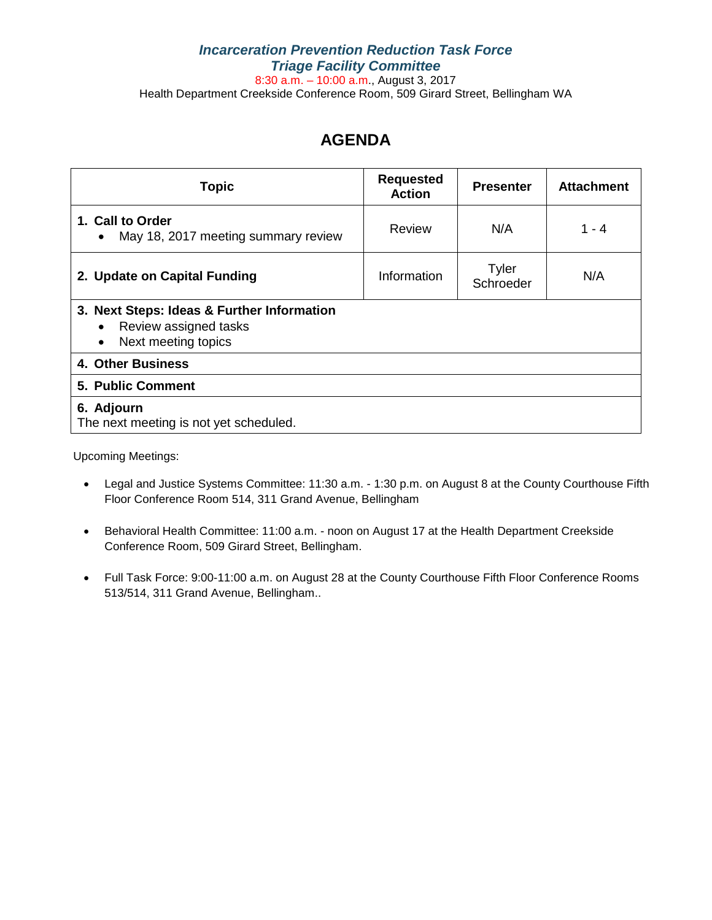### *Incarceration Prevention Reduction Task Force Triage Facility Committee* 8:30 a.m. – 10:00 a.m., August 3, 2017 Health Department Creekside Conference Room, 509 Girard Street, Bellingham WA

# **AGENDA**

| <b>Topic</b>                                                                               | <b>Requested</b><br><b>Action</b> | <b>Presenter</b>   | <b>Attachment</b> |
|--------------------------------------------------------------------------------------------|-----------------------------------|--------------------|-------------------|
| 1. Call to Order<br>May 18, 2017 meeting summary review<br>$\bullet$                       | <b>Review</b>                     | N/A                | 1 - 4             |
| 2. Update on Capital Funding                                                               | Information                       | Tyler<br>Schroeder | N/A               |
| 3. Next Steps: Ideas & Further Information<br>Review assigned tasks<br>Next meeting topics |                                   |                    |                   |
| 4. Other Business                                                                          |                                   |                    |                   |
| 5. Public Comment                                                                          |                                   |                    |                   |
| 6. Adjourn<br>The next meeting is not yet scheduled.                                       |                                   |                    |                   |

Upcoming Meetings:

- Legal and Justice Systems Committee: 11:30 a.m. 1:30 p.m. on August 8 at the County Courthouse Fifth Floor Conference Room 514, 311 Grand Avenue, Bellingham
- Behavioral Health Committee: 11:00 a.m. noon on August 17 at the Health Department Creekside Conference Room, 509 Girard Street, Bellingham.
- Full Task Force: 9:00-11:00 a.m. on August 28 at the County Courthouse Fifth Floor Conference Rooms 513/514, 311 Grand Avenue, Bellingham..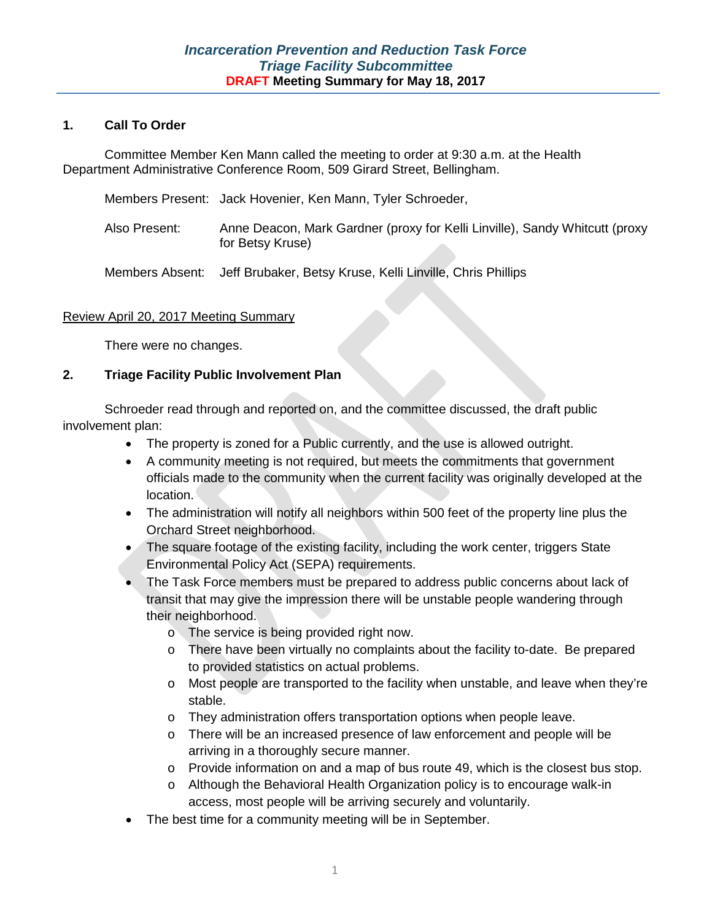#### **1. Call To Order**

Committee Member Ken Mann called the meeting to order at 9:30 a.m. at the Health Department Administrative Conference Room, 509 Girard Street, Bellingham.

- Members Present: Jack Hovenier, Ken Mann, Tyler Schroeder,
- Also Present: Anne Deacon, Mark Gardner (proxy for Kelli Linville), Sandy Whitcutt (proxy for Betsy Kruse)
- Members Absent: Jeff Brubaker, Betsy Kruse, Kelli Linville, Chris Phillips

#### Review April 20, 2017 Meeting Summary

There were no changes.

#### **2. Triage Facility Public Involvement Plan**

Schroeder read through and reported on, and the committee discussed, the draft public involvement plan:

- The property is zoned for a Public currently, and the use is allowed outright.
- A community meeting is not required, but meets the commitments that government officials made to the community when the current facility was originally developed at the location.
- The administration will notify all neighbors within 500 feet of the property line plus the Orchard Street neighborhood.
- The square footage of the existing facility, including the work center, triggers State Environmental Policy Act (SEPA) requirements.
- The Task Force members must be prepared to address public concerns about lack of transit that may give the impression there will be unstable people wandering through their neighborhood.
	- o The service is being provided right now.
	- o There have been virtually no complaints about the facility to-date. Be prepared to provided statistics on actual problems.
	- o Most people are transported to the facility when unstable, and leave when they're stable.
	- o They administration offers transportation options when people leave.
	- o There will be an increased presence of law enforcement and people will be arriving in a thoroughly secure manner.
	- $\circ$  Provide information on and a map of bus route 49, which is the closest bus stop.
	- o Although the Behavioral Health Organization policy is to encourage walk-in access, most people will be arriving securely and voluntarily.
- The best time for a community meeting will be in September.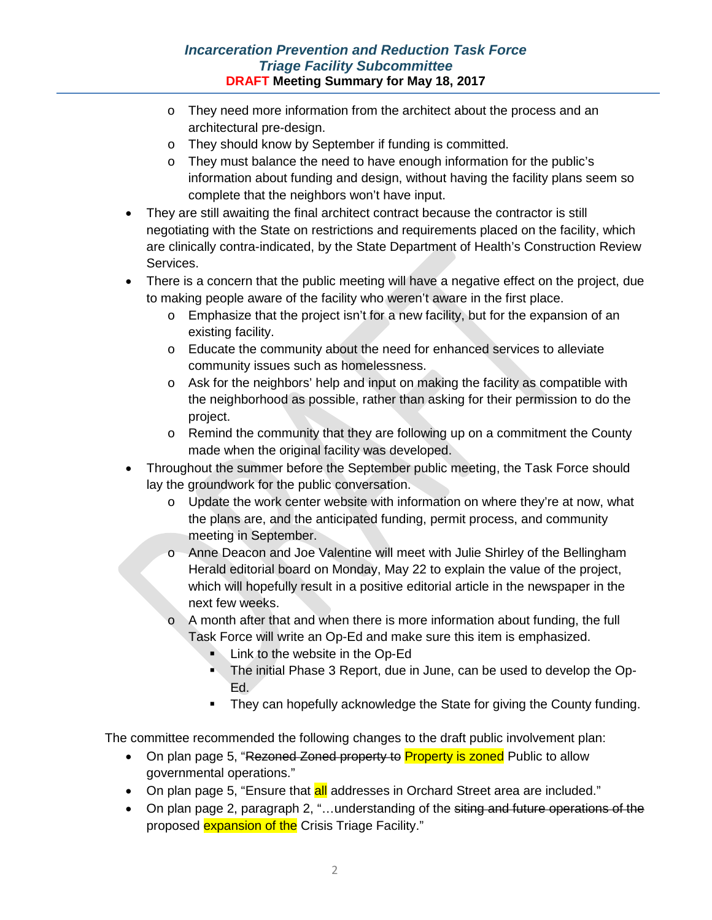# *Incarceration Prevention and Reduction Task Force Triage Facility Subcommittee* **DRAFT Meeting Summary for May 18, 2017**

- o They need more information from the architect about the process and an architectural pre-design.
- o They should know by September if funding is committed.
- o They must balance the need to have enough information for the public's information about funding and design, without having the facility plans seem so complete that the neighbors won't have input.
- They are still awaiting the final architect contract because the contractor is still negotiating with the State on restrictions and requirements placed on the facility, which are clinically contra-indicated, by the State Department of Health's Construction Review Services.
- There is a concern that the public meeting will have a negative effect on the project, due to making people aware of the facility who weren't aware in the first place.
	- o Emphasize that the project isn't for a new facility, but for the expansion of an existing facility.
	- o Educate the community about the need for enhanced services to alleviate community issues such as homelessness.
	- $\circ$  Ask for the neighbors' help and input on making the facility as compatible with the neighborhood as possible, rather than asking for their permission to do the project.
	- o Remind the community that they are following up on a commitment the County made when the original facility was developed.
- Throughout the summer before the September public meeting, the Task Force should lay the groundwork for the public conversation.
	- o Update the work center website with information on where they're at now, what the plans are, and the anticipated funding, permit process, and community meeting in September.
	- o Anne Deacon and Joe Valentine will meet with Julie Shirley of the Bellingham Herald editorial board on Monday, May 22 to explain the value of the project, which will hopefully result in a positive editorial article in the newspaper in the next few weeks.
	- $\circ$  A month after that and when there is more information about funding, the full Task Force will write an Op-Ed and make sure this item is emphasized.
		- **Link to the website in the Op-Ed**
		- **The initial Phase 3 Report, due in June, can be used to develop the Op-**Ed.
		- They can hopefully acknowledge the State for giving the County funding.

The committee recommended the following changes to the draft public involvement plan:

- On plan page 5, "Rezoned Zoned property to Property is zoned Public to allow governmental operations."
- On plan page 5, "Ensure that **all** addresses in Orchard Street area are included."
- On plan page 2, paragraph 2, "...understanding of the siting and future operations of the proposed **expansion of the** Crisis Triage Facility."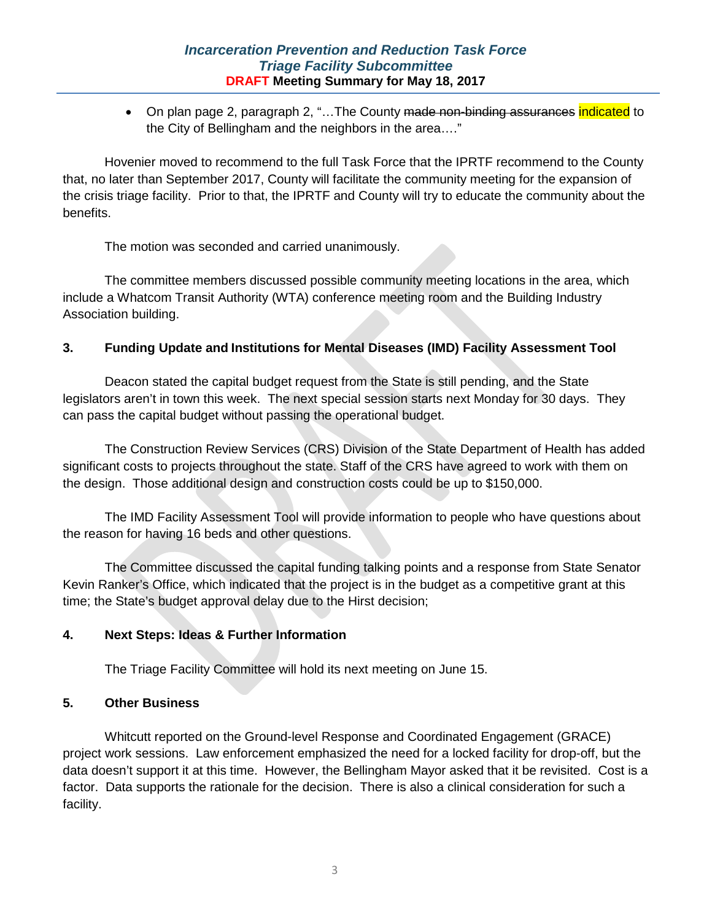• On plan page 2, paragraph 2, "...The County <del>made non-binding assurances</del> indicated to the City of Bellingham and the neighbors in the area…."

Hovenier moved to recommend to the full Task Force that the IPRTF recommend to the County that, no later than September 2017, County will facilitate the community meeting for the expansion of the crisis triage facility. Prior to that, the IPRTF and County will try to educate the community about the benefits.

The motion was seconded and carried unanimously.

The committee members discussed possible community meeting locations in the area, which include a Whatcom Transit Authority (WTA) conference meeting room and the Building Industry Association building.

## **3. Funding Update and Institutions for Mental Diseases (IMD) Facility Assessment Tool**

Deacon stated the capital budget request from the State is still pending, and the State legislators aren't in town this week. The next special session starts next Monday for 30 days. They can pass the capital budget without passing the operational budget.

The Construction Review Services (CRS) Division of the State Department of Health has added significant costs to projects throughout the state. Staff of the CRS have agreed to work with them on the design. Those additional design and construction costs could be up to \$150,000.

The IMD Facility Assessment Tool will provide information to people who have questions about the reason for having 16 beds and other questions.

The Committee discussed the capital funding talking points and a response from State Senator Kevin Ranker's Office, which indicated that the project is in the budget as a competitive grant at this time; the State's budget approval delay due to the Hirst decision;

# **4. Next Steps: Ideas & Further Information**

The Triage Facility Committee will hold its next meeting on June 15.

#### **5. Other Business**

Whitcutt reported on the Ground-level Response and Coordinated Engagement (GRACE) project work sessions. Law enforcement emphasized the need for a locked facility for drop-off, but the data doesn't support it at this time. However, the Bellingham Mayor asked that it be revisited. Cost is a factor. Data supports the rationale for the decision. There is also a clinical consideration for such a facility.